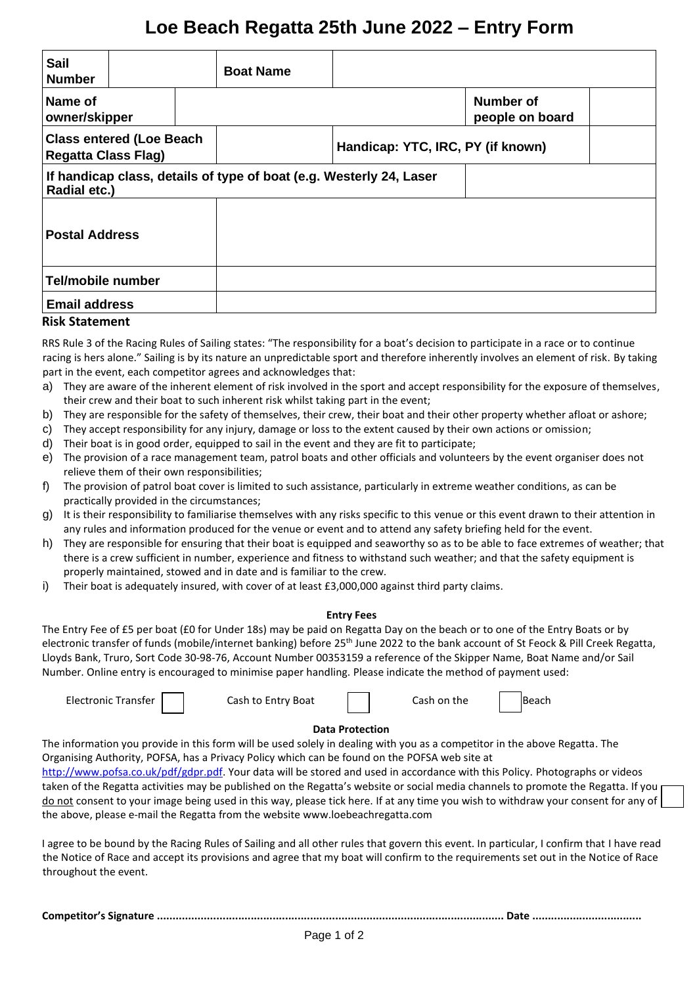# **Loe Beach Regatta 25th June 2022 – Entry Form**

| <b>Sail</b><br><b>Number</b>                                                        | <b>Boat Name</b> |                                     |  |  |
|-------------------------------------------------------------------------------------|------------------|-------------------------------------|--|--|
| Name of<br>owner/skipper                                                            |                  | <b>Number of</b><br>people on board |  |  |
| <b>Class entered (Loe Beach</b><br><b>Regatta Class Flag)</b>                       |                  | Handicap: YTC, IRC, PY (if known)   |  |  |
| If handicap class, details of type of boat (e.g. Westerly 24, Laser<br>Radial etc.) |                  |                                     |  |  |
| <b>Postal Address</b>                                                               |                  |                                     |  |  |
| Tel/mobile number                                                                   |                  |                                     |  |  |
| <b>Email address</b>                                                                |                  |                                     |  |  |

# **Risk Statement**

RRS Rule 3 of the Racing Rules of Sailing states: "The responsibility for a boat's decision to participate in a race or to continue racing is hers alone." Sailing is by its nature an unpredictable sport and therefore inherently involves an element of risk. By taking part in the event, each competitor agrees and acknowledges that:

- a) They are aware of the inherent element of risk involved in the sport and accept responsibility for the exposure of themselves, their crew and their boat to such inherent risk whilst taking part in the event;
- b) They are responsible for the safety of themselves, their crew, their boat and their other property whether afloat or ashore;
- c) They accept responsibility for any injury, damage or loss to the extent caused by their own actions or omission;
- d) Their boat is in good order, equipped to sail in the event and they are fit to participate;
- e) The provision of a race management team, patrol boats and other officials and volunteers by the event organiser does not relieve them of their own responsibilities;
- f) The provision of patrol boat cover is limited to such assistance, particularly in extreme weather conditions, as can be practically provided in the circumstances;
- g) It is their responsibility to familiarise themselves with any risks specific to this venue or this event drawn to their attention in any rules and information produced for the venue or event and to attend any safety briefing held for the event.
- h) They are responsible for ensuring that their boat is equipped and seaworthy so as to be able to face extremes of weather; that there is a crew sufficient in number, experience and fitness to withstand such weather; and that the safety equipment is properly maintained, stowed and in date and is familiar to the crew.
- i) Their boat is adequately insured, with cover of at least £3,000,000 against third party claims.

## **Entry Fees**

The Entry Fee of £5 per boat (£0 for Under 18s) may be paid on Regatta Day on the beach or to one of the Entry Boats or by electronic transfer of funds (mobile/internet banking) before 25<sup>th</sup> June 2022 to the bank account of St Feock & Pill Creek Regatta, Lloyds Bank, Truro, Sort Code 30-98-76, Account Number 00353159 a reference of the Skipper Name, Boat Name and/or Sail Number. Online entry is encouraged to minimise paper handling. Please indicate the method of payment used:







## **Data Protection**

The information you provide in this form will be used solely in dealing with you as a competitor in the above Regatta. The Organising Authority, POFSA, has a Privacy Policy which can be found on the POFSA web site at

[http://www.pofsa.co.uk/pdf/gdpr.pdf.](http://www.pofsa.co.uk/pdf/gdpr.pdf) Your data will be stored and used in accordance with this Policy. Photographs or videos taken of the Regatta activities may be published on the Regatta's website or social media channels to promote the Regatta. If you do not consent to your image being used in this way, please tick here. If at any time you wish to withdraw your consent for any of the above, please e-mail the Regatta from the website www.loebeachregatta.com

I agree to be bound by the Racing Rules of Sailing and all other rules that govern this event. In particular, I confirm that I have read the Notice of Race and accept its provisions and agree that my boat will confirm to the requirements set out in the Notice of Race throughout the event.

**Competitor's Signature ............................................................................................................... Date ...................................**